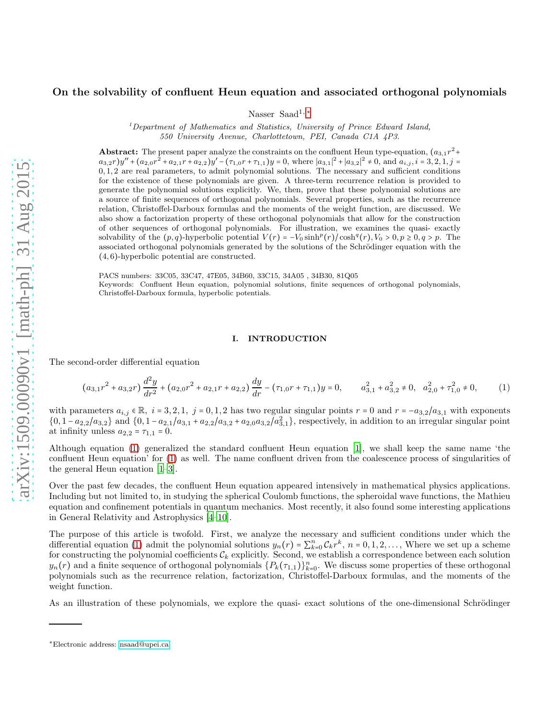# On the solvability of confluent Heun equation and associated orthogonal polynomials

Nasser Saad<sup>1,[∗](#page-0-0)</sup>

<sup>1</sup>Department of Mathematics and Statistics, University of Prince Edward Island, 550 University Avenue, Charlottetown, PEI, Canada C1A 4P3.

**Abstract:** The present paper analyze the constraints on the confluent Heun type-equation,  $(a_{3,1}r^2 +$  $a_{3,2}r$ )y" +  $(a_{2,0}r^2 + a_{2,1}r + a_{2,2})y' - (\tau_{1,0}r + \tau_{1,1})y = 0$ , where  $|a_{3,1}|^2 + |a_{3,2}|^2 \neq 0$ , and  $a_{i,j}, i = 3, 2, 1, j = 1$ 0, 1, 2 are real parameters, to admit polynomial solutions. The necessary and sufficient conditions for the existence of these polynomials are given. A three-term recurrence relation is provided to generate the polynomial solutions explicitly. We, then, prove that these polynomial solutions are a source of finite sequences of orthogonal polynomials. Several properties, such as the recurrence relation, Christoffel-Darboux formulas and the moments of the weight function, are discussed. We also show a factorization property of these orthogonal polynomials that allow for the construction of other sequences of orthogonal polynomials. For illustration, we examines the quasi- exactly solvability of the  $(p, q)$ -hyperbolic potential  $V(r) = -V_0 \sinh^p(r)/\cosh^q(r)$ ,  $V_0 > 0, p \ge 0, q > p$ . The associated orthogonal polynomials generated by the solutions of the Schrödinger equation with the (4, 6)-hyperbolic potential are constructed.

PACS numbers: 33C05, 33C47, 47E05, 34B60, 33C15, 34A05 , 34B30, 81Q05 Keywords: Confluent Heun equation, polynomial solutions, finite sequences of orthogonal polynomials, Christoffel-Darboux formula, hyperbolic potentials.

## <span id="page-0-1"></span>I. INTRODUCTION

The second-order differential equation

$$
(a_{3,1}r^2 + a_{3,2}r)\frac{d^2y}{dr^2} + (a_{2,0}r^2 + a_{2,1}r + a_{2,2})\frac{dy}{dr} - (\tau_{1,0}r + \tau_{1,1})y = 0, \qquad a_{3,1}^2 + a_{3,2}^2 \neq 0, \quad a_{2,0}^2 + \tau_{1,0}^2 \neq 0,
$$
 (1)

with parameters  $a_{i,j} \in \mathbb{R}$ ,  $i = 3, 2, 1$ ,  $j = 0, 1, 2$  has two regular singular points  $r = 0$  and  $r = -a_{3,2}/a_{3,1}$  with exponents  $\{0, 1 - a_{2,2}/a_{3,2}\}\$  and  $\{0, 1 - a_{2,1}/a_{3,1} + a_{2,2}/a_{3,2} + a_{2,0}a_{3,2}/a_{3,1}^2\}$ , respectively, in addition to an irregular singular point at infinity unless  $a_{2,2} = \tau_{1,1} = 0$ .

Although equation [\(1\)](#page-0-1) generalized the standard confluent Heun equation [\[1](#page-10-0)], we shall keep the same name 'the confluent Heun equation' for [\(1\)](#page-0-1) as well. The name confluent driven from the coalescence process of singularities of the general Heun equation [\[1](#page-10-0)[–3](#page-10-1)].

Over the past few decades, the confluent Heun equation appeared intensively in mathematical physics applications. Including but not limited to, in studying the spherical Coulomb functions, the spheroidal wave functions, the Mathieu equation and confinement potentials in quantum mechanics. Most recently, it also found some interesting applications in General Relativity and Astrophysics [\[4](#page-10-2)[–10\]](#page-10-3).

The purpose of this article is twofold. First, we analyze the necessary and sufficient conditions under which the differential equation [\(1\)](#page-0-1) admit the polynomial solutions  $y_n(r) = \sum_{k=0}^n C_k r^k$ ,  $n = 0, 1, 2, \ldots$ , Where we set up a scheme for constructing the polynomial coefficients  $\mathcal{C}_k$  explicitly. Second, we establish a correspondence between each solution  $y_n(r)$  and a finite sequence of orthogonal polynomials  $\{P_k(\tau_{1,1})\}_{k=0}^n$ . We discuss some properties of these orthogonal polynomials such as the recurrence relation, factorization, Christoffel-Darboux formulas, and the moments of the weight function.

As an illustration of these polynomials, we explore the quasi- exact solutions of the one-dimensional Schrödinger

<span id="page-0-0"></span><sup>∗</sup>Electronic address: [nsaad@upei.ca](mailto:nsaad@upei.ca)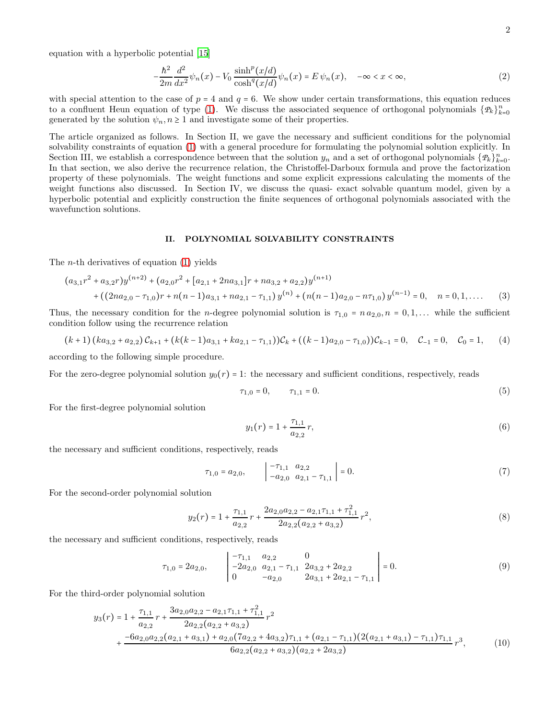equation with a hyperbolic potential [\[15](#page-10-4)]

$$
-\frac{\hbar^2}{2m}\frac{d^2}{dx^2}\psi_n(x) - V_0 \frac{\sinh^p(x/d)}{\cosh^q(x/d)}\psi_n(x) = E \psi_n(x), \quad -\infty < x < \infty,\tag{2}
$$

with special attention to the case of  $p = 4$  and  $q = 6$ . We show under certain transformations, this equation reduces to a confluent Heun equation of type [\(1\)](#page-0-1). We discuss the associated sequence of orthogonal polynomials  $\{P_k\}_{k=0}^n$ generated by the solution  $\psi_n, n \geq 1$  and investigate some of their properties.

The article organized as follows. In Section II, we gave the necessary and sufficient conditions for the polynomial solvability constraints of equation [\(1\)](#page-0-1) with a general procedure for formulating the polynomial solution explicitly. In Section III, we establish a correspondence between that the solution  $y_n$  and a set of orthogonal polynomials  $\{P_k\}_{k=0}^n$ . In that section, we also derive the recurrence relation, the Christoffel-Darboux formula and prove the factorization property of these polynomials. The weight functions and some explicit expressions calculating the moments of the weight functions also discussed. In Section IV, we discuss the quasi- exact solvable quantum model, given by a hyperbolic potential and explicitly construction the finite sequences of orthogonal polynomials associated with the wavefunction solutions.

#### II. POLYNOMIAL SOLVABILITY CONSTRAINTS

The *n*-th derivatives of equation  $(1)$  yields

$$
(a_{3,1}r^2 + a_{3,2}r)y^{(n+2)} + (a_{2,0}r^2 + [a_{2,1} + 2na_{3,1}]r + na_{3,2} + a_{2,2})y^{(n+1)} + ((2na_{2,0} - \tau_{1,0})r + n(n-1)a_{3,1} + na_{2,1} - \tau_{1,1})y^{(n)} + (n(n-1)a_{2,0} - n\tau_{1,0})y^{(n-1)} = 0, \quad n = 0, 1, ....
$$
 (3)

Thus, the necessary condition for the *n*-degree polynomial solution is  $\tau_{1,0} = n a_{2,0}, n = 0, 1, \ldots$  while the sufficient condition follow using the recurrence relation

$$
(k+1)(ka_{3,2}+a_{2,2})\mathcal{C}_{k+1} + (k(k-1)a_{3,1}+ka_{2,1}-\tau_{1,1})\mathcal{C}_k + ((k-1)a_{2,0}-\tau_{1,0})\mathcal{C}_{k-1} = 0, \quad \mathcal{C}_{-1} = 0, \quad \mathcal{C}_0 = 1,
$$
 (4)

according to the following simple procedure.

For the zero-degree polynomial solution  $y_0(r) = 1$ : the necessary and sufficient conditions, respectively, reads

$$
\tau_{1,0} = 0, \qquad \tau_{1,1} = 0. \tag{5}
$$

For the first-degree polynomial solution

<span id="page-1-2"></span><span id="page-1-0"></span>
$$
y_1(r) = 1 + \frac{\tau_{1,1}}{a_{2,2}} r,\tag{6}
$$

the necessary and sufficient conditions, respectively, reads

$$
\tau_{1,0} = a_{2,0}, \qquad \begin{vmatrix} -\tau_{1,1} & a_{2,2} \\ -a_{2,0} & a_{2,1} - \tau_{1,1} \end{vmatrix} = 0.
$$
\n(7)

For the second-order polynomial solution

<span id="page-1-1"></span>
$$
y_2(r) = 1 + \frac{\tau_{1,1}}{a_{2,2}}r + \frac{2a_{2,0}a_{2,2} - a_{2,1}\tau_{1,1} + \tau_{1,1}^2}{2a_{2,2}(a_{2,2} + a_{3,2})}r^2,
$$
\n
$$
(8)
$$

the necessary and sufficient conditions, respectively, reads

$$
\tau_{1,0} = 2a_{2,0}, \qquad \begin{vmatrix} -\tau_{1,1} & a_{2,2} & 0 \\ -2a_{2,0} & a_{2,1} - \tau_{1,1} & 2a_{3,2} + 2a_{2,2} \\ 0 & -a_{2,0} & 2a_{3,1} + 2a_{2,1} - \tau_{1,1} \end{vmatrix} = 0.
$$
\n(9)

For the third-order polynomial solution

$$
y_3(r) = 1 + \frac{\tau_{1,1}}{a_{2,2}} r + \frac{3a_{2,0}a_{2,2} - a_{2,1}\tau_{1,1} + \tau_{1,1}^2}{2a_{2,2}(a_{2,2} + a_{3,2})} r^2 + \frac{-6a_{2,0}a_{2,2}(a_{2,1} + a_{3,1}) + a_{2,0}(7a_{2,2} + 4a_{3,2})\tau_{1,1} + (a_{2,1} - \tau_{1,1})(2(a_{2,1} + a_{3,1}) - \tau_{1,1})\tau_{1,1}}{6a_{2,2}(a_{2,2} + a_{3,2})(a_{2,2} + 2a_{3,2})} r^3,
$$
(10)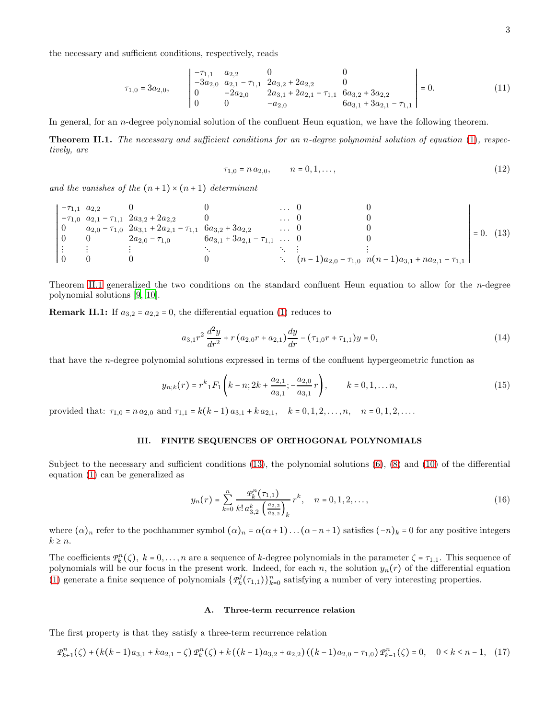the necessary and sufficient conditions, respectively, reads

$$
\tau_{1,0} = 3a_{2,0}, \qquad \begin{vmatrix}\n-\tau_{1,1} & a_{2,2} & 0 & 0 \\
-3a_{2,0} & a_{2,1} - \tau_{1,1} & 2a_{3,2} + 2a_{2,2} & 0 \\
0 & -2a_{2,0} & 2a_{3,1} + 2a_{2,1} - \tau_{1,1} & 6a_{3,2} + 3a_{2,2} \\
0 & 0 & -a_{2,0} & 6a_{3,1} + 3a_{2,1} - \tau_{1,1}\n\end{vmatrix} = 0.
$$
\n(11)

In general, for an n-degree polynomial solution of the confluent Heun equation, we have the following theorem.

<span id="page-2-0"></span>Theorem II.1. The necessary and sufficient conditions for an n-degree polynomial solution of equation [\(1\)](#page-0-1), respectively, are

<span id="page-2-1"></span>
$$
\tau_{1,0} = n a_{2,0}, \qquad n = 0, 1, \dots,
$$
\n<sup>(12)</sup>

and the vanishes of the  $(n+1) \times (n+1)$  determinant

$$
\begin{vmatrix}\n-\tau_{1,1} & a_{2,2} & 0 & 0 & \dots & 0 & 0 \\
-\tau_{1,0} & a_{2,1} - \tau_{1,1} & 2a_{3,2} + 2a_{2,2} & 0 & \dots & 0 & 0 \\
0 & a_{2,0} - \tau_{1,0} & 2a_{3,1} + 2a_{2,1} - \tau_{1,1} & 6a_{3,2} + 3a_{2,2} & \dots & 0 & 0 \\
0 & 0 & 2a_{2,0} - \tau_{1,0} & 6a_{3,1} + 3a_{2,1} - \tau_{1,1} & \dots & 0 & 0 \\
\vdots & \vdots & \vdots & \ddots & \vdots & \vdots & \ddots & \vdots \\
0 & 0 & 0 & 0 & \ddots & (n-1)a_{2,0} - \tau_{1,0} & n(n-1)a_{3,1} + na_{2,1} - \tau_{1,1}\n\end{vmatrix} = 0.
$$
 (13)

Theorem [II.1](#page-2-0) generalized the two conditions on the standard confluent Heun equation to allow for the n-degree polynomial solutions [\[9,](#page-10-5) [10\]](#page-10-3).

**Remark II.1:** If  $a_{3,2} = a_{2,2} = 0$ , the differential equation [\(1\)](#page-0-1) reduces to

$$
a_{3,1}r^2\frac{d^2y}{dr^2} + r(a_{2,0}r + a_{2,1})\frac{dy}{dr} - (\tau_{1,0}r + \tau_{1,1})y = 0,
$$
\n(14)

that have the n-degree polynomial solutions expressed in terms of the confluent hypergeometric function as

$$
y_{n;k}(r) = r^k {}_1F_1\left(k - n; 2k + \frac{a_{2,1}}{a_{3,1}}; -\frac{a_{2,0}}{a_{3,1}}r\right), \qquad k = 0, 1, \dots n,
$$
\n(15)

provided that:  $\tau_{1,0} = n a_{2,0}$  and  $\tau_{1,1} = k(k-1) a_{3,1} + k a_{2,1}, \quad k = 0, 1, 2, \ldots, n, \quad n = 0, 1, 2, \ldots$ 

### III. FINITE SEQUENCES OF ORTHOGONAL POLYNOMIALS

Subject to the necessary and sufficient conditions  $(13)$ , the polynomial solutions  $(6)$ ,  $(8)$  and  $(10)$  of the differential equation [\(1\)](#page-0-1) can be generalized as

<span id="page-2-3"></span>
$$
y_n(r) = \sum_{k=0}^n \frac{\mathcal{P}_k^n(\tau_{1,1})}{k! \, a_{3,2}^k \left(\frac{a_{2,2}}{a_{3,2}}\right)_k} r^k, \quad n = 0, 1, 2, \dots,
$$
\n(16)

where  $(\alpha)_n$  refer to the pochhammer symbol  $(\alpha)_n = \alpha(\alpha+1) \dots (\alpha-n+1)$  satisfies  $(-n)_k = 0$  for any positive integers  $k \geq n$ .

The coefficients  $\mathcal{P}_k^n(\zeta)$ ,  $k = 0, \ldots, n$  are a sequence of k-degree polynomials in the parameter  $\zeta = \tau_{1,1}$ . This sequence of polynomials will be our focus in the present work. Indeed, for each n, the solution  $y_n(r)$  of the differential equation [\(1\)](#page-0-1) generate a finite sequence of polynomials  $\{ \mathcal{P}_k^j$  $k^j(\tau_{1,1})\}_{k=0}^n$  satisfying a number of very interesting properties.

#### A. Three-term recurrence relation

The first property is that they satisfy a three-term recurrence relation

<span id="page-2-2"></span>
$$
\mathcal{P}_{k+1}^n(\zeta) + (k(k-1)a_{3,1} + ka_{2,1} - \zeta)\mathcal{P}_k^n(\zeta) + k((k-1)a_{3,2} + a_{2,2})((k-1)a_{2,0} - \tau_{1,0})\mathcal{P}_{k-1}^n(\zeta) = 0, \quad 0 \le k \le n-1, \tag{17}
$$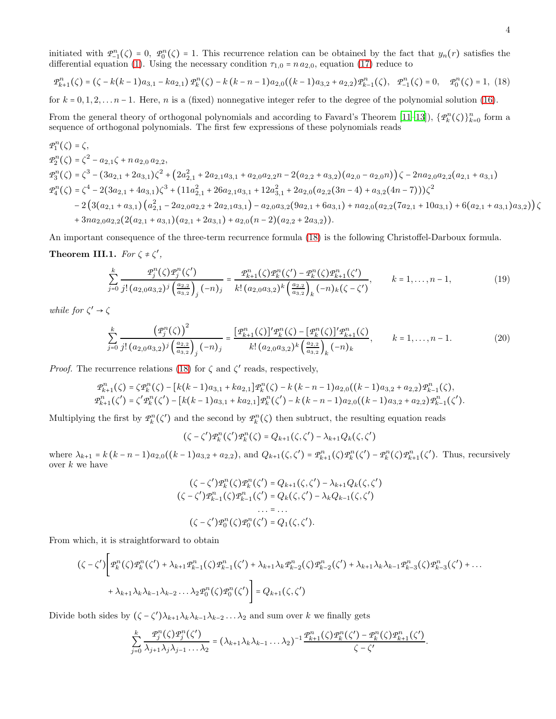initiated with  $\mathcal{P}_{-1}^n(\zeta) = 0$ ,  $\mathcal{P}_0^n(\zeta) = 1$ . This recurrence relation can be obtained by the fact that  $y_n(r)$  satisfies the differential equation [\(1\)](#page-0-1). Using the necessary condition  $\tau_{1,0} = n a_{2,0}$ , equation [\(17\)](#page-2-2) reduce to

<span id="page-3-0"></span>
$$
\mathcal{P}_{k+1}^n(\zeta) = (\zeta - k(k-1)a_{3,1} - ka_{2,1})\mathcal{P}_k^n(\zeta) - k(k-n-1)a_{2,0}((k-1)a_{3,2} + a_{2,2})\mathcal{P}_{k-1}^n(\zeta), \quad \mathcal{P}_{-1}^n(\zeta) = 0, \quad \mathcal{P}_0^n(\zeta) = 1, \tag{18}
$$

for  $k = 0, 1, 2, \ldots, n-1$ . Here, n is a (fixed) nonnegative integer refer to the degree of the polynomial solution [\(16\)](#page-2-3).

From the general theory of orthogonal polynomials and according to Favard's Theorem [\[11](#page-10-6)[–13\]](#page-10-7)),  $\{\mathcal{P}_k^n(\zeta)\}_{k=0}^n$  form a sequence of orthogonal polynomials. The first few expressions of these polynomials reads

$$
\begin{split} \varPhi_1^n(\zeta) &= \zeta, \\ \varPhi_2^n(\zeta) &= \zeta^2 - a_{2,1}\zeta + n\,a_{2,0}\,a_{2,2}, \\ \varPhi_3^n(\zeta) &= \zeta^3 - (3a_{2,1} + 2a_{3,1})\zeta^2 + \left(2a_{2,1}^2 + 2a_{2,1}a_{3,1} + a_{2,0}a_{2,2}n - 2(a_{2,2} + a_{3,2})(a_{2,0} - a_{2,0}n)\right)\zeta - 2na_{2,0}a_{2,2}(a_{2,1} + a_{3,1}) \\ \varPhi_4^n(\zeta) &= \zeta^4 - 2(3a_{2,1} + 4a_{3,1})\zeta^3 + (11a_{2,1}^2 + 26a_{2,1}a_{3,1} + 12a_{3,1}^2 + 2a_{2,0}(a_{2,2}(3n-4) + a_{3,2}(4n-7)))\zeta^2 \\ &- 2\left(3(a_{2,1} + a_{3,1})(a_{2,1}^2 - 2a_{2,0}a_{2,2} + 2a_{2,1}a_{3,1}) - a_{2,0}a_{3,2}(9a_{2,1} + 6a_{3,1}) + na_{2,0}(a_{2,2}(7a_{2,1} + 10a_{3,1}) + 6(a_{2,1} + a_{3,1})a_{3,2})\right)\zeta \\ &+ 3na_{2,0}a_{2,2}(2(a_{2,1} + a_{3,1})(a_{2,1} + 2a_{3,1}) + a_{2,0}(n-2)(a_{2,2} + 2a_{3,2})). \end{split}
$$

An important consequence of the three-term recurrence formula [\(18\)](#page-3-0) is the following Christoffel-Darboux formula. Theorem III.1. For  $\zeta \neq \zeta'$ ,

$$
\sum_{j=0}^{k} \frac{\mathcal{P}_j^n(\zeta)\mathcal{P}_j^n(\zeta')}{j!\left(a_{2,0}a_{3,2}\right)^j \left(\frac{a_{2,2}}{a_{3,2}}\right)_j (-n)_j} = \frac{\mathcal{P}_{k+1}^n(\zeta)\mathcal{P}_k^n(\zeta') - \mathcal{P}_k^n(\zeta)\mathcal{P}_{k+1}^n(\zeta')}{k!\left(a_{2,0}a_{3,2}\right)^k \left(\frac{a_{2,2}}{a_{3,2}}\right)_k (-n)_k (\zeta - \zeta')}, \qquad k = 1, \ldots, n-1,
$$
\n(19)

while for  $\zeta' \to \zeta$ 

$$
\sum_{j=0}^{k} \frac{\left(\mathcal{P}_{j}^{n}(\zeta)\right)^{2}}{j!\left(a_{2,0}a_{3,2}\right)^{j}\left(\frac{a_{2,2}}{a_{3,2}}\right)_{j}\left(-n\right)_{j}} = \frac{\left[\mathcal{P}_{k+1}^{n}(\zeta)\right]'\mathcal{P}_{k}^{n}(\zeta) - \left[\mathcal{P}_{k}^{n}(\zeta)\right]'\mathcal{P}_{k+1}^{n}(\zeta)}{k!\left(a_{2,0}a_{3,2}\right)^{k}\left(\frac{a_{2,2}}{a_{3,2}}\right)_{k}\left(-n\right)_{k}}, \qquad k = 1, \ldots, n-1. \tag{20}
$$

*Proof.* The recurrence relations [\(18\)](#page-3-0) for  $\zeta$  and  $\zeta'$  reads, respectively,

$$
\mathcal{P}_{k+1}^{n}(\zeta) = \zeta \mathcal{P}_{k}^{n}(\zeta) - \left[k(k-1)a_{3,1} + ka_{2,1}\right] \mathcal{P}_{k}^{n}(\zeta) - k(k-n-1)a_{2,0}((k-1)a_{3,2} + a_{2,2}) \mathcal{P}_{k-1}^{n}(\zeta),
$$
\n
$$
\mathcal{P}_{k+1}^{n}(\zeta') = \zeta' \mathcal{P}_{k}^{n}(\zeta') - \left[k(k-1)a_{3,1} + ka_{2,1}\right] \mathcal{P}_{k}^{n}(\zeta') - k(k-n-1)a_{2,0}((k-1)a_{3,2} + a_{2,2}) \mathcal{P}_{k-1}^{n}(\zeta').
$$

Multiplying the first by  $\mathcal{P}_k^n(\zeta')$  and the second by  $\mathcal{P}_k^n(\zeta)$  then subtruct, the resulting equation reads

<span id="page-3-1"></span> $(\zeta - \zeta')\mathcal{P}_k^n(\zeta')\mathcal{P}_k^n(\zeta) = Q_{k+1}(\zeta, \zeta') - \lambda_{k+1}Q_k(\zeta, \zeta')$ 

where  $\lambda_{k+1} = k(k-n-1)a_{2,0}((k-1)a_{3,2} + a_{2,2}),$  and  $Q_{k+1}(\zeta, \zeta') = \mathcal{P}_{k+1}^n(\zeta)\mathcal{P}_k^n(\zeta') - \mathcal{P}_k^n(\zeta)\mathcal{P}_{k+1}^n(\zeta').$  Thus, recursively over  $k$  we have

$$
(\zeta - \zeta')\mathcal{P}_k^n(\zeta)\mathcal{P}_k^n(\zeta') = Q_{k+1}(\zeta, \zeta') - \lambda_{k+1}Q_k(\zeta, \zeta')
$$
  

$$
(\zeta - \zeta')\mathcal{P}_{k-1}^n(\zeta)\mathcal{P}_{k-1}^n(\zeta') = Q_k(\zeta, \zeta') - \lambda_kQ_{k-1}(\zeta, \zeta')
$$
  
... = ...  

$$
(\zeta - \zeta')\mathcal{P}_0^n(\zeta)\mathcal{P}_0^n(\zeta') = Q_1(\zeta, \zeta').
$$

From which, it is straightforward to obtain

 $\overline{a}$ 

$$
\left(\zeta - \zeta'\right) \left[ \mathcal{P}_k^n(\zeta) \mathcal{P}_k^n(\zeta') + \lambda_{k+1} \mathcal{P}_{k-1}^n(\zeta) \mathcal{P}_{k-1}^n(\zeta') + \lambda_{k+1} \lambda_k \mathcal{P}_{k-2}^n(\zeta) \mathcal{P}_{k-2}^n(\zeta') + \lambda_{k+1} \lambda_k \lambda_{k-1} \mathcal{P}_{k-3}^n(\zeta) \mathcal{P}_{k-3}^n(\zeta') + \dots + \lambda_{k+1} \lambda_k \lambda_{k-1} \lambda_{k-2} \dots \lambda_2 \mathcal{P}_0^n(\zeta) \mathcal{P}_0^n(\zeta') \right] = Q_{k+1}(\zeta, \zeta')
$$

Divide both sides by  $(\zeta - \zeta')\lambda_{k+1}\lambda_k\lambda_{k-1}\lambda_{k-2}\ldots\lambda_2$  and sum over k we finally gets

$$
\sum_{j=0}^k \frac{\mathcal{P}_j^n(\zeta)\mathcal{P}_j^n(\zeta')}{\lambda_{j+1}\lambda_j\lambda_{j-1}\ldots\lambda_2} = (\lambda_{k+1}\lambda_k\lambda_{k-1}\ldots\lambda_2)^{-1} \frac{\mathcal{P}_{k+1}^n(\zeta)\mathcal{P}_k^n(\zeta') - \mathcal{P}_k^n(\zeta)\mathcal{P}_{k+1}^n(\zeta')}{\zeta - \zeta'}.
$$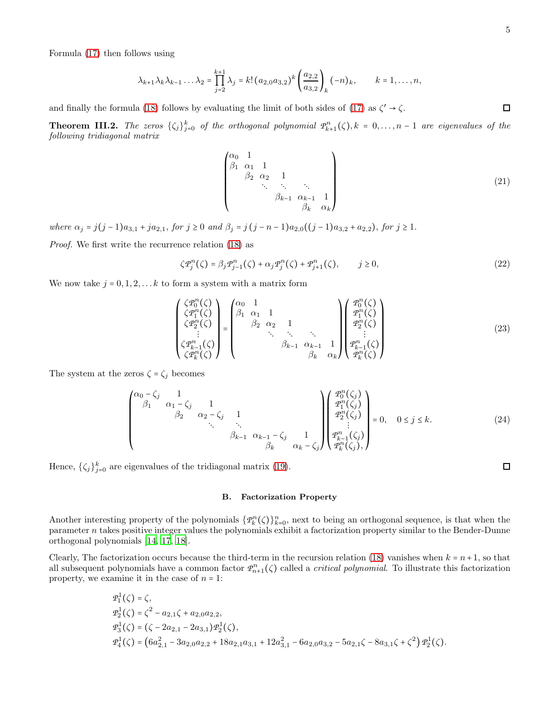Formula [\(17\)](#page-2-2) then follows using

$$
\lambda_{k+1}\lambda_k\lambda_{k-1}\ldots\lambda_2 = \prod_{j=2}^{k+1} \lambda_j = k! (a_{2,0}a_{3,2})^k \left(\frac{a_{2,2}}{a_{3,2}}\right)_k (-n)_k, \qquad k = 1,\ldots,n,
$$

and finally the formula [\(18\)](#page-3-0) follows by evaluating the limit of both sides of [\(17\)](#page-2-2) as  $\zeta' \to \zeta$ .

**Theorem III.2.** The zeros  $\{\zeta_j\}_{j=0}^k$  of the orthogonal polynomial  $\mathcal{P}_{k+1}^n(\zeta), k = 0, \ldots, n-1$  are eigenvalues of the following tridiagonal matrix

$$
\begin{pmatrix}\n\alpha_0 & 1 & & & & & \\
\beta_1 & \alpha_1 & 1 & & & & \\
& \beta_2 & \alpha_2 & 1 & & & \\
& & \ddots & \ddots & \ddots & & \\
& & & \beta_{k-1} & \alpha_{k-1} & 1 \\
& & & & \beta_k & \alpha_k\n\end{pmatrix}
$$
\n(21)

where  $\alpha_j = j(j-1)a_{3,1} + ja_{2,1}$ , for  $j \ge 0$  and  $\beta_j = j(j-n-1)a_{2,0}((j-1)a_{3,2} + a_{2,2})$ , for  $j \ge 1$ .

Proof. We first write the recurrence relation [\(18\)](#page-3-0) as

<span id="page-4-0"></span>
$$
\zeta \mathcal{P}_j^n(\zeta) = \beta_j \mathcal{P}_{j-1}^n(\zeta) + \alpha_j \mathcal{P}_j^n(\zeta) + \mathcal{P}_{j+1}^n(\zeta), \qquad j \ge 0,
$$
\n
$$
(22)
$$

We now take  $j = 0, 1, 2, \ldots k$  to form a system with a matrix form

$$
\begin{pmatrix}\n\zeta \mathcal{P}_0^n(\zeta) \\
\zeta \mathcal{P}_1^n(\zeta) \\
\zeta \mathcal{P}_2^n(\zeta) \\
\vdots \\
\zeta \mathcal{P}_k^n(\zeta)\n\end{pmatrix} = \begin{pmatrix}\n\alpha_0 & 1 & & & & \\
\beta_1 & \alpha_1 & 1 & & & \\
\beta_2 & \alpha_2 & 1 & & & \\
\beta_2 & \alpha_2 & 1 & & & \\
\vdots & \vdots & \ddots & \ddots & \vdots \\
\beta_{k-1} & \alpha_{k-1} & 1 & & \\
\beta_{k-1} & \alpha_{k-1} & 1 & \\
\beta_k & \alpha_k\n\end{pmatrix} \begin{pmatrix}\n\mathcal{P}_0^n(\zeta) \\
\mathcal{P}_1^n(\zeta) \\
\mathcal{P}_2^n(\zeta) \\
\vdots \\
\mathcal{P}_k^n(\zeta)\n\end{pmatrix}
$$
\n(23)

The system at the zeros  $\zeta = \zeta_j$  becomes

$$
\begin{pmatrix}\n\alpha_0 - \zeta_j & 1 & & & \\
\beta_1 & \alpha_1 - \zeta_j & 1 & & \\
& \beta_2 & \alpha_2 - \zeta_j & 1 & \\
& & \ddots & \ddots & \vdots \\
& & & \beta_{k-1} & \alpha_{k-1} - \zeta_j & 1 \\
& & & & \beta_k & \alpha_k - \zeta_j\n\end{pmatrix}\n\begin{pmatrix}\n\mathcal{P}_0^n(\zeta_j) \\
\mathcal{P}_1^n(\zeta_j) \\
\mathcal{P}_2^n(\zeta_j) \\
\vdots \\
\mathcal{P}_k^n(\zeta_j)\n\end{pmatrix} = 0, \quad 0 \le j \le k.
$$
\n(24)

Hence,  $\{\zeta_j\}_{j=0}^k$  are eigenvalues of the tridiagonal matrix [\(19\)](#page-3-1).

B. Factorization Property

Another interesting property of the polynomials  $\{\mathcal{P}_k^n(\zeta)\}_{k=0}^n$ , next to being an orthogonal sequence, is that when the parameter n takes positive integer values the polynomials exhibit a factorization property similar to the Bender-Dunne orthogonal polynomials [\[14,](#page-10-8) [17](#page-10-9), [18](#page-10-10)].

Clearly, The factorization occurs because the third-term in the recursion relation [\(18\)](#page-3-0) vanishes when  $k = n+1$ , so that all subsequent polynomials have a common factor  $\mathcal{P}_{n+1}^n(\zeta)$  called a *critical polynomial*. To illustrate this factorization property, we examine it in the case of  $n = 1$ :

$$
\begin{aligned}\n\mathcal{P}_1^1(\zeta) &= \zeta, \\
\mathcal{P}_2^1(\zeta) &= \zeta^2 - a_{2,1}\zeta + a_{2,0}a_{2,2}, \\
\mathcal{P}_3^1(\zeta) &= \left(\zeta - 2a_{2,1} - 2a_{3,1}\right)\mathcal{P}_2^1(\zeta), \\
\mathcal{P}_4^1(\zeta) &= \left(6a_{2,1}^2 - 3a_{2,0}a_{2,2} + 18a_{2,1}a_{3,1} + 12a_{3,1}^2 - 6a_{2,0}a_{3,2} - 5a_{2,1}\zeta - 8a_{3,1}\zeta + \zeta^2\right)\mathcal{P}_2^1(\zeta).\n\end{aligned}
$$

 $\Box$ 

 $\Box$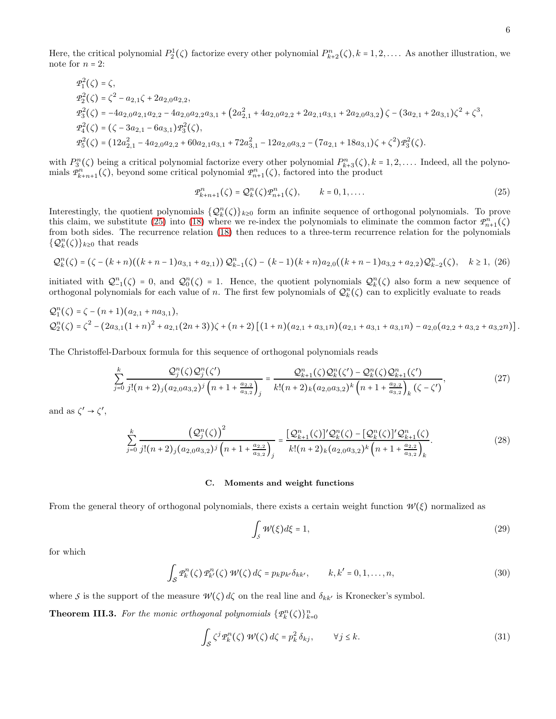Here, the critical polynomial  $P_2^1(\zeta)$  factorize every other polynomial  $P_{k+2}^n(\zeta)$ ,  $k = 1, 2, \ldots$ . As another illustration, we note for  $n = 2$ :

$$
P_1^2(\zeta) = \zeta,
$$
  
\n
$$
P_2^2(\zeta) = \zeta^2 - a_{2,1}\zeta + 2a_{2,0}a_{2,2},
$$
  
\n
$$
P_3^2(\zeta) = -4a_{2,0}a_{2,1}a_{2,2} - 4a_{2,0}a_{2,2}a_{3,1} + (2a_{2,1}^2 + 4a_{2,0}a_{2,2} + 2a_{2,1}a_{3,1} + 2a_{2,0}a_{3,2})\zeta - (3a_{2,1} + 2a_{3,1})\zeta^2 + \zeta^3,
$$
  
\n
$$
P_4^2(\zeta) = (\zeta - 3a_{2,1} - 6a_{3,1})P_3^2(\zeta),
$$
  
\n
$$
P_5^2(\zeta) = (12a_{2,1}^2 - 4a_{2,0}a_{2,2} + 60a_{2,1}a_{3,1} + 72a_{3,1}^2 - 12a_{2,0}a_{3,2} - (7a_{2,1} + 18a_{3,1})\zeta + \zeta^2)P_3^2(\zeta).
$$

with  $P_3^n(\zeta)$  being a critical polynomial factorize every other polynomial  $P_{k+3}^n(\zeta), k = 1, 2, \ldots$  Indeed, all the polynomials  $\mathcal{P}_{k+n+1}^n(\zeta)$ , beyond some critical polynomial  $\mathcal{P}_{n+1}^n(\zeta)$ , factored into the product

<span id="page-5-0"></span>
$$
\mathcal{P}_{k+n+1}^n(\zeta) = \mathcal{Q}_k^n(\zeta)\mathcal{P}_{n+1}^n(\zeta), \qquad k = 0, 1, \dots
$$
\n<sup>(25)</sup>

Interestingly, the quotient polynomials  $\{Q_k^n(\zeta)\}_{k\geq 0}$  form an infinite sequence of orthogonal polynomials. To prove this claim, we substitute [\(25\)](#page-5-0) into [\(18\)](#page-3-0) where we re-index the polynomials to eliminate the common factor  $P_{n+1}^n(\zeta)$ from both sides. The recurrence relation [\(18\)](#page-3-0) then reduces to a three-term recurrence relation for the polynomials  $\{ \mathcal{Q}_k^n(\zeta) \}_{k \geq 0}$  that reads

<span id="page-5-3"></span>
$$
\mathcal{Q}_k^n(\zeta) = (\zeta - (k+n)((k+n-1)a_{3,1} + a_{2,1}))\mathcal{Q}_{k-1}^n(\zeta) - (k-1)(k+n)a_{2,0}((k+n-1)a_{3,2} + a_{2,2})\mathcal{Q}_{k-2}^n(\zeta), \quad k \ge 1, (26)
$$

initiated with  $\mathcal{Q}_{-1}^n(\zeta) = 0$ , and  $\mathcal{Q}_0^n(\zeta) = 1$ . Hence, the quotient polynomials  $\mathcal{Q}_k^n(\zeta)$  also form a new sequence of orthogonal polynomials for each value of n. The first few polynomials of  $\mathcal{Q}_k^n(\zeta)$  can to explicitly evaluate to reads

$$
Q_1^n(\zeta) = \zeta - (n+1)(a_{2,1} + na_{3,1}),
$$
  
\n
$$
Q_2^n(\zeta) = \zeta^2 - (2a_{3,1}(1+n)^2 + a_{2,1}(2n+3))\zeta + (n+2)[(1+n)(a_{2,1} + a_{3,1}n)(a_{2,1} + a_{3,1}n) - a_{2,0}(a_{2,2} + a_{3,2}n + a_{3,2}n)].
$$

The Christoffel-Darboux formula for this sequence of orthogonal polynomials reads

$$
\sum_{j=0}^{k} \frac{\mathcal{Q}_{j}^{n}(\zeta)\mathcal{Q}_{j}^{n}(\zeta')}{j!(n+2)_{j}(a_{2,0}a_{3,2})^{j}} \left(n+1+\frac{a_{2,2}}{a_{3,2}}\right)_{j} = \frac{\mathcal{Q}_{k+1}^{n}(\zeta)\mathcal{Q}_{k}^{n}(\zeta') - \mathcal{Q}_{k}^{n}(\zeta)\mathcal{Q}_{k+1}^{n}(\zeta')}{k!(n+2)_{k}(a_{2,0}a_{3,2})^{k}\left(n+1+\frac{a_{2,2}}{a_{3,2}}\right)_{k}(\zeta-\zeta')},
$$
\n(27)

and as  $\zeta' \rightarrow \zeta',$ 

$$
\sum_{j=0}^{k} \frac{\left(\mathcal{Q}_{j}^{n}(\zeta)\right)^{2}}{j!(n+2)_{j}(a_{2,0}a_{3,2})^{j}\left(n+1+\frac{a_{2,2}}{a_{3,2}}\right)_{j}} = \frac{\left[\mathcal{Q}_{k+1}^{n}(\zeta)\right]'\mathcal{Q}_{k}^{n}(\zeta) - \left[\mathcal{Q}_{k}^{n}(\zeta)\right]'\mathcal{Q}_{k+1}^{n}(\zeta)}{k!(n+2)_{k}(a_{2,0}a_{3,2})^{k}\left(n+1+\frac{a_{2,2}}{a_{3,2}}\right)_{k}}.
$$
\n(28)

#### C. Moments and weight functions

From the general theory of orthogonal polynomials, there exists a certain weight function  $W(\xi)$  normalized as

<span id="page-5-1"></span>
$$
\int_{S} \mathcal{W}(\xi) d\xi = 1,\tag{29}
$$

for which

$$
\int_{\mathcal{S}} \mathcal{P}_k^n(\zeta) \, \mathcal{P}_{k'}^n(\zeta) \, \mathcal{W}(\zeta) \, d\zeta = p_k p_{k'} \delta_{kk'}, \qquad k, k' = 0, 1, \dots, n,
$$
\n
$$
(30)
$$

where *S* is the support of the measure  $W(\zeta) d\zeta$  on the real line and  $\delta_{kk'}$  is Kronecker's symbol.

<span id="page-5-2"></span>**Theorem III.3.** For the monic orthogonal polynomials  $\{P_k^n(\zeta)\}_{k=0}^n$ 

$$
\int_{\mathcal{S}} \zeta^j \varPsi_k^n(\zeta) \, \mathcal{W}(\zeta) \, d\zeta = p_k^2 \, \delta_{kj}, \qquad \forall j \le k. \tag{31}
$$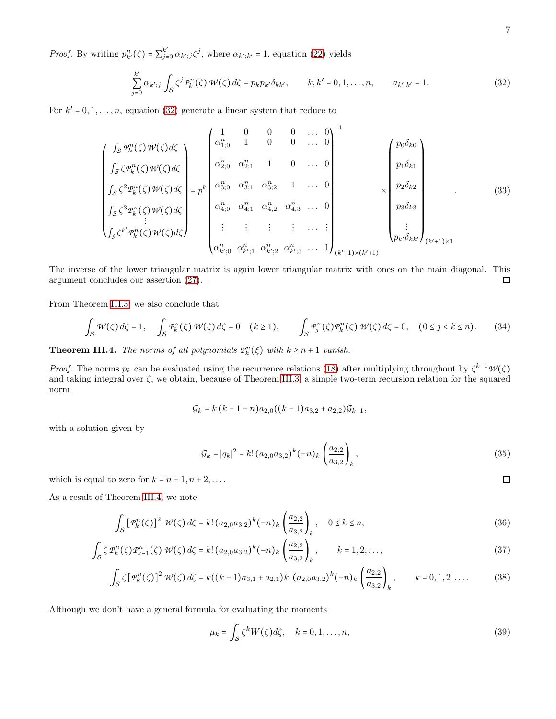*Proof.* By writing  $p_{k'}^n(\zeta) = \sum_{j=0}^{k'} \alpha_{k' ; j} \zeta^j$ , where  $\alpha_{k'; k'} = 1$ , equation [\(22\)](#page-4-0) yields

<span id="page-6-0"></span>
$$
\sum_{j=0}^{k'} \alpha_{k';j} \int_{\mathcal{S}} \zeta^j \mathcal{P}_k^n(\zeta) \, \mathcal{W}(\zeta) \, d\zeta = p_k p_{k'} \delta_{kk'}, \qquad k, k' = 0, 1, \dots, n, \qquad a_{k';k'} = 1. \tag{32}
$$

For  $k' = 0, 1, \ldots, n$ , equation [\(32\)](#page-6-0) generate a linear system that reduce to

$$
\begin{pmatrix}\n\int_{\mathcal{S}} \mathcal{P}_{k}^{n}(\zeta) \mathcal{W}(\zeta) d\zeta \\
\int_{\mathcal{S}} \zeta \mathcal{P}_{k}^{n}(\zeta) \mathcal{W}(\zeta) d\zeta \\
\int_{\mathcal{S}} \zeta^{2} \mathcal{P}_{k}^{n}(\zeta) \mathcal{W}(\zeta) d\zeta \\
\int_{\mathcal{S}} \zeta^{3} \mathcal{P}_{k}^{n}(\zeta) \mathcal{W}(\zeta) d\zeta \\
\vdots & \vdots & \vdots & \vdots \\
\int_{\mathcal{S}} \zeta^{k'} \mathcal{P}_{k}^{n}(\zeta) \mathcal{W}(\zeta) d\zeta\n\end{pmatrix} = p^{k} \begin{pmatrix}\n1 & 0 & 0 & 0 & \dots & 0 \\
\alpha_{1,0}^{n} & 1 & 0 & 0 & \dots & 0 \\
\alpha_{2,0}^{n} & \alpha_{2,1}^{n} & 1 & 0 & \dots & 0 \\
\alpha_{3,0}^{n} & \alpha_{3,1}^{n} & \alpha_{3,2}^{n} & 1 & \dots & 0 \\
\alpha_{4,0}^{n} & \alpha_{4,1}^{n} & \alpha_{4,2}^{n} & \alpha_{4,3}^{n} & \dots & 0 \\
\vdots & \vdots & \vdots & \vdots & \vdots & \vdots \\
\alpha_{k';0}^{n} & \alpha_{k';1}^{n} & \alpha_{k';2}^{n} & \alpha_{k';3}^{n} & \dots & 1\n\end{pmatrix}_{(k'+1)\times(k'+1)} \begin{pmatrix}\np_{0}\delta_{k0} \\
p_{1}\delta_{k1} \\
p_{2}\delta_{k2} \\
\vdots \\
p_{k'}\delta_{kk'}\n\end{pmatrix}_{(k'+1)\times 1}
$$
\n(33)

The inverse of the lower triangular matrix is again lower triangular matrix with ones on the main diagonal. This argument concludes our assertion [\(27\)](#page-5-1). .  $\Box$ 

From Theorem [III.3,](#page-5-2) we also conclude that

$$
\int_{\mathcal{S}} \mathcal{W}(\zeta) d\zeta = 1, \quad \int_{\mathcal{S}} \mathcal{P}_k^n(\zeta) \mathcal{W}(\zeta) d\zeta = 0 \quad (k \ge 1), \qquad \int_{\mathcal{S}} \mathcal{P}_j^n(\zeta) \mathcal{P}_k^n(\zeta) \mathcal{W}(\zeta) d\zeta = 0, \quad (0 \le j < k \le n). \tag{34}
$$

<span id="page-6-1"></span>**Theorem III.4.** The norms of all polynomials  $\mathcal{P}_k^n(\xi)$  with  $k \geq n+1$  vanish.

*Proof.* The norms  $p_k$  can be evaluated using the recurrence relations [\(18\)](#page-3-0) after multiplying throughout by  $\zeta^{k-1}W(\zeta)$ and taking integral over  $\zeta$ , we obtain, because of Theorem [III.3,](#page-5-2) a simple two-term recursion relation for the squared norm

$$
\mathcal{G}_k = k (k-1-n) a_{2,0} ((k-1) a_{3,2} + a_{2,2}) \mathcal{G}_{k-1},
$$

with a solution given by

$$
\mathcal{G}_k = |q_k|^2 = k! \left( a_{2,0} a_{3,2} \right)^k \left( -n \right)_k \left( \frac{a_{2,2}}{a_{3,2}} \right)_k, \tag{35}
$$

which is equal to zero for  $k = n + 1, n + 2, \ldots$ .

As a result of Theorem [III.4,](#page-6-1) we note

$$
\int_{\mathcal{S}} \left[ \mathcal{P}_k^n(\zeta) \right]^2 \, \mathcal{W}(\zeta) \, d\zeta = k! \left( a_{2,0} a_{3,2} \right)^k (-n)_k \left( \frac{a_{2,2}}{a_{3,2}} \right)_k, \quad 0 \le k \le n,
$$
\n(36)

$$
\int_{\mathcal{S}} \zeta \, \mathcal{P}_k^n(\zeta) \, \mathcal{P}_{k-1}^n(\zeta) \, \mathcal{W}(\zeta) \, d\zeta = k! \left( a_{2,0} a_{3,2} \right)^k (-n)_k \left( \frac{a_{2,2}}{a_{3,2}} \right)_k, \qquad k = 1,2,\ldots,\tag{37}
$$

$$
\int_{\mathcal{S}} \zeta \left[ \mathcal{P}_k^n(\zeta) \right]^2 \mathcal{W}(\zeta) d\zeta = k((k-1)a_{3,1} + a_{2,1})k! \left( a_{2,0}a_{3,2} \right)^k (-n)_k \left( \frac{a_{2,2}}{a_{3,2}} \right)_k, \qquad k = 0, 1, 2, \dots \tag{38}
$$

Although we don't have a general formula for evaluating the moments

$$
\mu_k = \int_{\mathcal{S}} \zeta^k W(\zeta) d\zeta, \quad k = 0, 1, \dots, n,
$$
\n(39)

 $\Box$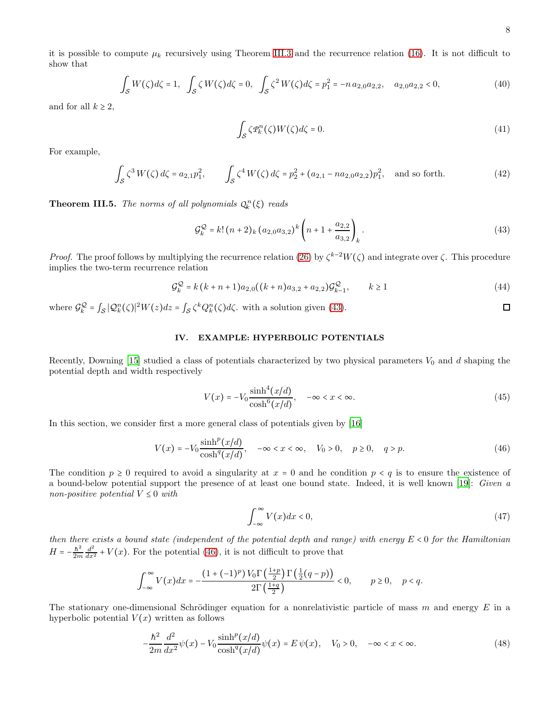$$
\int_{\mathcal{S}} W(\zeta) d\zeta = 1, \quad \int_{\mathcal{S}} \zeta W(\zeta) d\zeta = 0, \quad \int_{\mathcal{S}} \zeta^2 W(\zeta) d\zeta = p_1^2 = -n a_{2,0} a_{2,2}, \quad a_{2,0} a_{2,2} < 0,\tag{40}
$$

and for all  $k \geq 2$ ,

$$
\int_{\mathcal{S}} \zeta \mathcal{P}_k^n(\zeta) W(\zeta) d\zeta = 0. \tag{41}
$$

For example,

$$
\int_{\mathcal{S}} \zeta^3 W(\zeta) d\zeta = a_{2,1} p_1^2, \qquad \int_{\mathcal{S}} \zeta^4 W(\zeta) d\zeta = p_2^2 + (a_{2,1} - n a_{2,0} a_{2,2}) p_1^2, \quad \text{and so forth.} \tag{42}
$$

**Theorem III.5.** The norms of all polynomials  $Q_k^n(\xi)$  reads

<span id="page-7-0"></span>
$$
\mathcal{G}_k^{\mathcal{Q}} = k! \left( n + 2 \right)_{k} \left( a_{2,0} a_{3,2} \right)^k \left( n + 1 + \frac{a_{2,2}}{a_{3,2}} \right)_k. \tag{43}
$$

*Proof.* The proof follows by multiplying the recurrence relation [\(26\)](#page-5-3) by  $\zeta^{k-2}W(\zeta)$  and integrate over  $\zeta$ . This procedure implies the two-term recurrence relation

$$
\mathcal{G}_k^{\mathcal{Q}} = k(k+n+1)a_{2,0}((k+n)a_{3,2}+a_{2,2})\mathcal{G}_{k-1}^{\mathcal{Q}}, \qquad k \ge 1
$$
\n(44)

where  $\mathcal{G}_k^{\mathcal{Q}} = \int_{\mathcal{S}} |\mathcal{Q}_k^n(\zeta)|^2 W(z) dz = \int_{\mathcal{S}} \zeta^k Q_k^n(\zeta) d\zeta$ , with a solution given [\(43\)](#page-7-0).

# IV. EXAMPLE: HYPERBOLIC POTENTIALS

Recently, Downing [\[15](#page-10-4)] studied a class of potentials characterized by two physical parameters  $V_0$  and d shaping the potential depth and width respectively

$$
V(x) = -V_0 \frac{\sinh^4(x/d)}{\cosh^6(x/d)}, \quad -\infty < x < \infty. \tag{45}
$$

In this section, we consider first a more general class of potentials given by [\[16\]](#page-10-11)

$$
V(x) = -V_0 \frac{\sinh^p(x/d)}{\cosh^q(x/d)}, \quad -\infty < x < \infty, \quad V_0 > 0, \quad p \ge 0, \quad q > p. \tag{46}
$$

The condition  $p \ge 0$  required to avoid a singularity at  $x = 0$  and he condition  $p < q$  is to ensure the existence of a bound-below potential support the presence of at least one bound state. Indeed, it is well known [\[19\]](#page-10-12): Given a non-positive potential  $V \leq 0$  with

$$
\int_{-\infty}^{\infty} V(x)dx < 0,\tag{47}
$$

then there exists a bound state (independent of the potential depth and range) with energy  $E < 0$  for the Hamiltonian  $H = -\frac{\hbar^2}{2m} \frac{d^2}{dx^2} + V(x)$ . For the potential [\(46\)](#page-7-1), it is not difficult to prove that

$$
\int_{-\infty}^{\infty} V(x)dx = -\frac{\left(1 + (-1)^p\right)V_0 \Gamma\left(\frac{1+p}{2}\right) \Gamma\left(\frac{1}{2}(q-p)\right)}{2\Gamma\left(\frac{1+q}{2}\right)} < 0, \quad p \ge 0, \quad p < q.
$$

The stationary one-dimensional Schrödinger equation for a nonrelativistic particle of mass m and energy  $E$  in a hyperbolic potential  $V(x)$  written as follows

$$
-\frac{\hbar^2}{2m}\frac{d^2}{dx^2}\psi(x) - V_0 \frac{\sinh^p(x/d)}{\cosh^q(x/d)}\psi(x) = E\psi(x), \quad V_0 > 0, \quad -\infty < x < \infty.
$$
 (48)

<span id="page-7-1"></span> $\Box$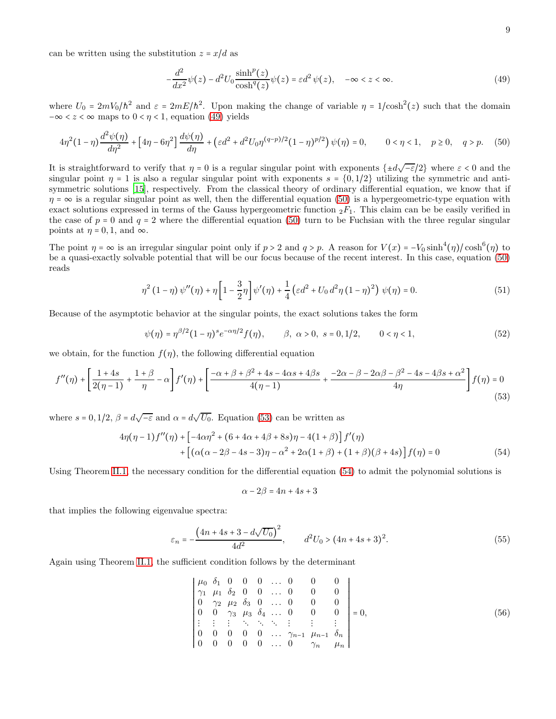can be written using the substitution  $z = x/d$  as

<span id="page-8-1"></span><span id="page-8-0"></span>
$$
-\frac{d^2}{dx^2}\psi(z) - d^2U_0 \frac{\sinh^p(z)}{\cosh^q(z)}\psi(z) = \varepsilon d^2 \psi(z), \quad -\infty < z < \infty.
$$
 (49)

where  $U_0 = 2mV_0/\hbar^2$  and  $\varepsilon = 2mE/\hbar^2$ . Upon making the change of variable  $\eta = 1/\cosh^2(z)$  such that the domain  $-\infty < z < \infty$  maps to  $0 < \eta < 1$ , equation [\(49\)](#page-8-0) yields

$$
4\eta^2(1-\eta)\frac{d^2\psi(\eta)}{d\eta^2} + \left[4\eta - 6\eta^2\right]\frac{d\psi(\eta)}{d\eta} + \left(\varepsilon d^2 + d^2U_0\eta^{(q-p)/2}(1-\eta)^{p/2}\right)\psi(\eta) = 0, \qquad 0 < \eta < 1, \quad p \ge 0, \quad q > p. \tag{50}
$$

It is straightforward to verify that  $\eta = 0$  is a regular singular point with exponents  $\{\pm d\sqrt{-\epsilon}/2\}$  where  $\epsilon < 0$  and the singular point  $\eta = 1$  is also a regular singular point with exponents  $s = \{0, 1/2\}$  utilizing the symmetric and antisymmetric solutions [\[15\]](#page-10-4), respectively. From the classical theory of ordinary differential equation, we know that if  $\eta = \infty$  is a regular singular point as well, then the differential equation [\(50\)](#page-8-1) is a hypergeometric-type equation with exact solutions expressed in terms of the Gauss hypergeometric function  ${}_2F_1$ . This claim can be be easily verified in the case of  $p = 0$  and  $q = 2$  where the differential equation [\(50\)](#page-8-1) turn to be Fuchsian with the three regular singular points at  $\eta = 0, 1$ , and  $\infty$ .

The point  $\eta = \infty$  is an irregular singular point only if  $p > 2$  and  $q > p$ . A reason for  $V(x) = -V_0 \sinh^4(\eta) / \cosh^6(\eta)$  to be a quasi-exactly solvable potential that will be our focus because of the recent interest. In this case, equation [\(50\)](#page-8-1) reads

$$
\eta^{2} (1 - \eta) \psi''(\eta) + \eta \left[ 1 - \frac{3}{2} \eta \right] \psi'(\eta) + \frac{1}{4} \left( \varepsilon d^{2} + U_{0} d^{2} \eta (1 - \eta)^{2} \right) \psi(\eta) = 0.
$$
\n(51)

Because of the asymptotic behavior at the singular points, the exact solutions takes the form

$$
\psi(\eta) = \eta^{\beta/2} (1 - \eta)^s e^{-\alpha \eta/2} f(\eta), \qquad \beta, \ \alpha > 0, \ s = 0, 1/2, \qquad 0 < \eta < 1,\tag{52}
$$

we obtain, for the function  $f(\eta)$ , the following differential equation

$$
f''(\eta) + \left[\frac{1+4s}{2(\eta-1)} + \frac{1+\beta}{\eta} - \alpha\right]f'(\eta) + \left[\frac{-\alpha+\beta+\beta^2+4s - 4\alpha s + 4\beta s}{4(\eta-1)} + \frac{-2\alpha-\beta-2\alpha\beta-\beta^2-4s - 4\beta s + \alpha^2}{4\eta}\right]f(\eta) = 0
$$
\n(53)

where  $s = 0, 1/2, \beta = d\sqrt{-\varepsilon}$  and  $\alpha = d\sqrt{U_0}$ . Equation [\(53\)](#page-8-2) can be written as

$$
4\eta(\eta - 1)f''(\eta) + \left[ -4\alpha\eta^2 + (6 + 4\alpha + 4\beta + 8s)\eta - 4(1 + \beta) \right] f'(\eta) + \left[ (\alpha(\alpha - 2\beta - 4s - 3)\eta - \alpha^2 + 2\alpha(1 + \beta) + (1 + \beta)(\beta + 4s) \right] f(\eta) = 0
$$
(54)

Using Theorem [II.1,](#page-2-0) the necessary condition for the differential equation [\(54\)](#page-8-3) to admit the polynomial solutions is

<span id="page-8-3"></span><span id="page-8-2"></span>
$$
\alpha - 2\beta = 4n + 4s + 3
$$

that implies the following eigenvalue spectra:

$$
\varepsilon_n = -\frac{\left(4n + 4s + 3 - d\sqrt{U_0}\right)^2}{4d^2}, \qquad d^2 U_0 > (4n + 4s + 3)^2. \tag{55}
$$

Again using Theorem [II.1,](#page-2-0) the sufficient condition follows by the determinant

$$
\begin{vmatrix}\n\mu_0 & \delta_1 & 0 & 0 & 0 & \dots & 0 & 0 & 0 \\
\gamma_1 & \mu_1 & \delta_2 & 0 & 0 & \dots & 0 & 0 & 0 \\
0 & \gamma_2 & \mu_2 & \delta_3 & 0 & \dots & 0 & 0 & 0 \\
0 & 0 & \gamma_3 & \mu_3 & \delta_4 & \dots & 0 & 0 & 0 \\
\vdots & \vdots & \vdots & \ddots & \ddots & \ddots & \vdots & \vdots & \vdots \\
0 & 0 & 0 & 0 & 0 & \dots & \gamma_{n-1} & \mu_{n-1} & \delta_n \\
0 & 0 & 0 & 0 & 0 & \dots & 0 & \gamma_n & \mu_n\n\end{vmatrix} = 0,
$$
\n(56)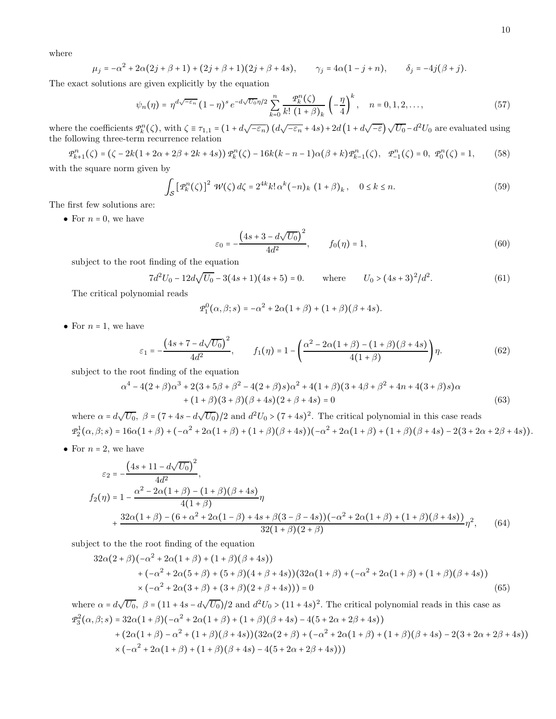where

$$
\mu_j = -\alpha^2 + 2\alpha(2j + \beta + 1) + (2j + \beta + 1)(2j + \beta + 4s), \qquad \gamma_j = 4\alpha(1 - j + n), \qquad \delta_j = -4j(\beta + j).
$$

The exact solutions are given explicitly by the equation

$$
\psi_n(\eta) = \eta^{d\sqrt{-\varepsilon_n}} (1 - \eta)^s e^{-d\sqrt{U_0}\eta/2} \sum_{k=0}^n \frac{\mathcal{P}_k^n(\zeta)}{k! (1 + \beta)_k} \left(-\frac{\eta}{4}\right)^k, \quad n = 0, 1, 2, \dots, \tag{57}
$$

where the coefficients  $\mathcal{P}_k^n(\zeta)$ , with  $\zeta \equiv \tau_{1,1} = (1 + d\sqrt{-\varepsilon_n}) (d\sqrt{-\varepsilon_n} + 4s) + 2d(1 + d\sqrt{-\varepsilon_n}) \sqrt{U_0} - d^2U_0$  are evaluated using the following three-term recurrence relation

$$
\mathcal{P}_{k+1}^{n}(\zeta) = (\zeta - 2k(1 + 2\alpha + 2\beta + 2k + 4s)) \mathcal{P}_{k}^{n}(\zeta) - 16k(k - n - 1)\alpha(\beta + k)\mathcal{P}_{k-1}^{n}(\zeta), \quad \mathcal{P}_{-1}^{n}(\zeta) = 0, \quad \mathcal{P}_{0}^{n}(\zeta) = 1,\tag{58}
$$

with the square norm given by

$$
\int_{\mathcal{S}} \left[ \mathcal{P}_k^n(\zeta) \right]^2 \, \mathcal{W}(\zeta) \, d\zeta = 2^{4k} k! \, \alpha^k (-n)_k \, \left( 1 + \beta \right)_k, \quad 0 \le k \le n. \tag{59}
$$

The first few solutions are:

• For  $n = 0$ , we have

$$
\varepsilon_0 = -\frac{\left(4s + 3 - d\sqrt{U_0}\right)^2}{4d^2}, \qquad f_0(\eta) = 1,\tag{60}
$$

subject to the root finding of the equation

$$
7d^{2}U_{0} - 12d\sqrt{U_{0}} - 3(4s + 1)(4s + 5) = 0.
$$
 where  $U_{0} > (4s + 3)^{2}/d^{2}.$  (61)

The critical polynomial reads

$$
\mathcal{P}_1^0(\alpha, \beta; s) = -\alpha^2 + 2\alpha(1+\beta) + (1+\beta)(\beta + 4s).
$$

• For  $n = 1$ , we have

$$
\varepsilon_1 = -\frac{\left(4s + 7 - d\sqrt{U_0}\right)^2}{4d^2}, \qquad f_1(\eta) = 1 - \left(\frac{\alpha^2 - 2\alpha(1+\beta) - (1+\beta)(\beta+4s)}{4(1+\beta)}\right)\eta.
$$
(62)

subject to the root finding of the equation

$$
\alpha^4 - 4(2+\beta)\alpha^3 + 2(3+5\beta+\beta^2 - 4(2+\beta)s)\alpha^2 + 4(1+\beta)(3+4\beta+\beta^2+4n+4(3+\beta)s)\alpha
$$
  
+ 
$$
(1+\beta)(3+\beta)(\beta+4s)(2+\beta+4s) = 0
$$
 (63)

where  $\alpha = d\sqrt{U_0}$ ,  $\beta = (7 + 4s - d\sqrt{U_0})/2$  and  $d^2U_0 > (7 + 4s)^2$ . The critical polynomial in this case reads  $P_2^1(\alpha,\beta;s) = 16\alpha(1+\beta) + (-\alpha^2 + 2\alpha(1+\beta) + (1+\beta)(\beta+4s))(-\alpha^2 + 2\alpha(1+\beta) + (1+\beta)(\beta+4s) - 2(3+2\alpha+2\beta+4s)).$ 

• For  $n = 2$ , we have

$$
\varepsilon_2 = -\frac{\left(4s + 11 - d\sqrt{U_0}\right)^2}{4d^2},
$$
\n
$$
f_2(\eta) = 1 - \frac{\alpha^2 - 2\alpha(1+\beta) - (1+\beta)(\beta+4s)}{4(1+\beta)}\eta
$$
\n
$$
+ \frac{32\alpha(1+\beta) - (6+\alpha^2+2\alpha(1-\beta)+4s+\beta(3-\beta-4s))(-\alpha^2+2\alpha(1+\beta)+(1+\beta)(\beta+4s))}{32(1+\beta)(2+\beta)}\eta^2,
$$
\n(64)

subject to the the root finding of the equation

$$
32\alpha(2+\beta)(-\alpha^2+2\alpha(1+\beta)+(1+\beta)(\beta+4s))+(\alpha^2+2\alpha(5+\beta)+(5+\beta)(4+\beta+4s))(32\alpha(1+\beta)+(-\alpha^2+2\alpha(1+\beta)+(1+\beta)(\beta+4s))\times(-\alpha^2+2\alpha(3+\beta)+(3+\beta)(2+\beta+4s)))=0
$$
(65)

where  $\alpha = d\sqrt{U_0}$ ,  $\beta = (11 + 4s - d\sqrt{U_0})/2$  and  $d^2U_0 > (11 + 4s)^2$ . The critical polynomial reads in this case as  $P_3^2(\alpha, \beta; s) = 32\alpha(1+\beta)(-\alpha^2 + 2\alpha(1+\beta) + (1+\beta)(\beta+4s) - 4(5+2\alpha+2\beta+4s))$ 

+ 
$$
(2\alpha(1+\beta) - \alpha^2 + (1+\beta)(\beta+4s))(32\alpha(2+\beta) + (-\alpha^2 + 2\alpha(1+\beta) + (1+\beta)(\beta+4s) - 2(3+2\alpha+2\beta+4s))
$$
  
×  $(-\alpha^2 + 2\alpha(1+\beta) + (1+\beta)(\beta+4s) - 4(5+2\alpha+2\beta+4s)))$